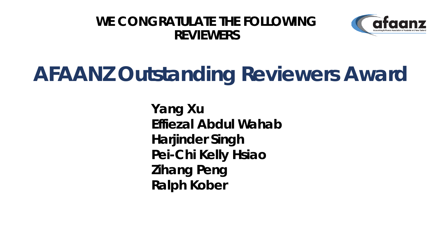### **WE CONGRATULATE THE FOLLOWING REVIEWERS**



# **AFAANZ Outstanding Reviewers Award**

**Yang Xu Effiezal Abdul Wahab Harjinder Singh Pei-Chi Kelly Hsiao Zihang Peng Ralph Kober**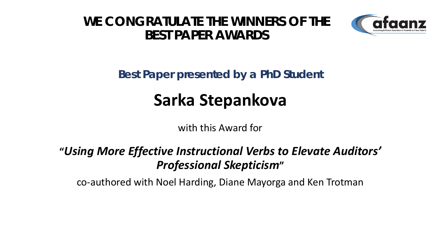

**Best Paper presented by a PhD Student**

## **Sarka Stepankova**

with this Award for

### **"***Using More Effective Instructional Verbs to Elevate Auditors' Professional Skepticism***"**

co-authored with Noel Harding, Diane Mayorga and Ken Trotman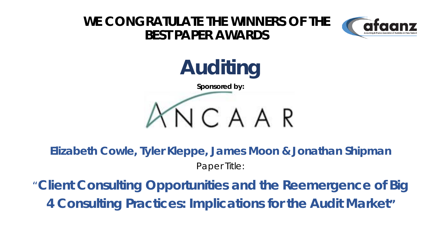

# **Auditing**

**Sponsored by:**



**Elizabeth Cowle, Tyler Kleppe, James Moon & Jonathan Shipman** Paper Title:

"**Client Consulting Opportunities and the Reemergence of Big 4 Consulting Practices: Implications for the Audit Market"**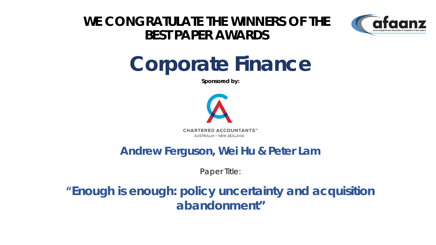

# **Corporate Finance**

**Sponsored by:**



#### **Andrew Ferguson, Wei Hu & Peter Lam**

Paper Title:

**"Enough is enough: policy uncertainty and acquisition abandonment"**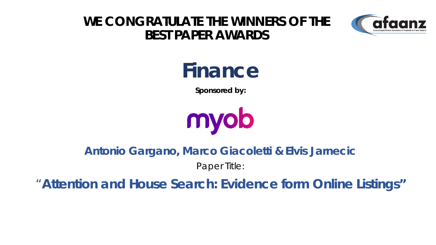

## **Finance**

**Sponsored by:**



### **Antonio Gargano, Marco Giacoletti & Elvis Jarnecic**

Paper Title:

"**Attention and House Search: Evidence form Online Listings"**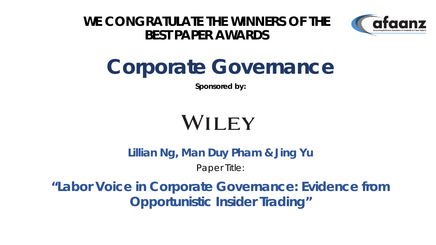

# **Corporate Governance**

**Sponsored by:**

# WILEY

**Lillian Ng, Man Duy Pham & Jing Yu**

Paper Title:

**"Labor Voice in Corporate Governance: Evidence from Opportunistic Insider Trading"**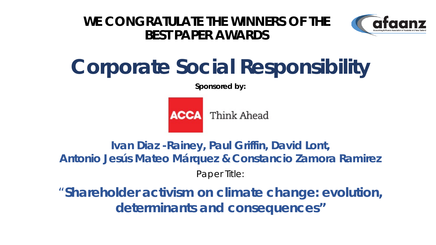



# **Corporate Social Responsibility**

**Sponsored by:**

**ACCA** Think Ahead

**Ivan Diaz -Rainey, Paul Griffin, David Lont, Antonio Jesús Mateo Márquez & Constancio Zamora Ramirez** Paper Title:

"**Shareholder activism on climate change: evolution, determinants and consequences"**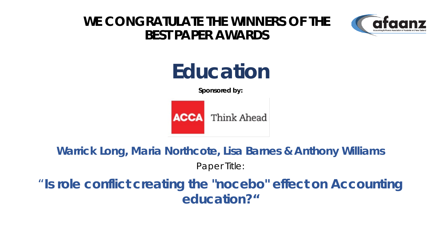

# **Education**

**Sponsored by:**



**Warrick Long, Maria Northcote, Lisa Barnes & Anthony Williams** Paper Title:

"**Is role conflict creating the "nocebo" effect on Accounting education?"**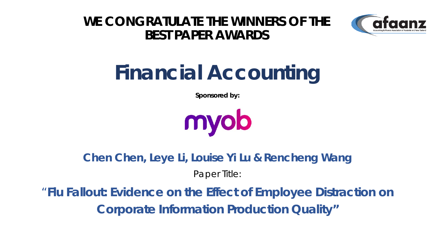



# **Financial Accounting**

**Sponsored by:**



**Chen Chen, Leye Li, Louise Yi Lu & Rencheng Wang** Paper Title:

"**Flu Fallout: Evidence on the Effect of Employee Distraction on Corporate Information Production Quality"**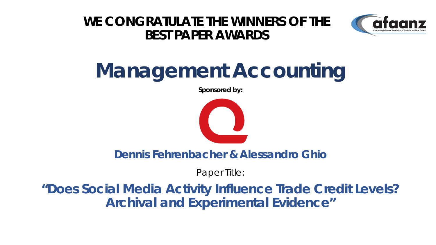

# **Management Accounting**

**Sponsored by:**



**Dennis Fehrenbacher & Alessandro Ghio**

Paper Title:

**"Does Social Media Activity Influence Trade Credit Levels? Archival and Experimental Evidence"**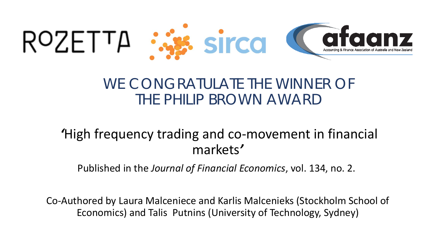

### WE CONGRATULATE THE WINNER OF THE PHILIP BROWN AWARD

### *'*High frequency trading and co-movement in financial markets*'*

Published in the *Journal of Financial Economics*, vol. 134, no. 2.

Co-Authored by Laura Malceniece and Karlis Malcenieks (Stockholm School of Economics) and Talis Putnins (University of Technology, Sydney)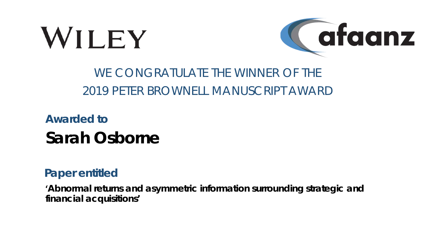



## WE CONGRATULATE THE WINNER OF THE 2019 PETER BROWNELL MANUSCRIPT AWARD

**Awarded to Sarah Osborne**

#### **Paper entitled**

**'Abnormal returns and asymmetric information surrounding strategic and financial acquisitions***'*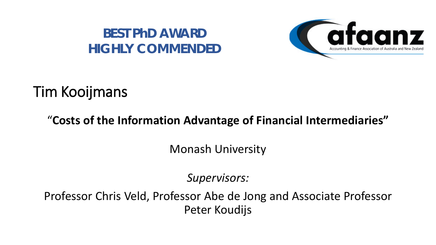### **BEST PhD AWARD HIGHLY COMMENDED**



## Tim Kooijmans

### "**Costs of the Information Advantage of Financial Intermediaries"**

Monash University

*Supervisors:*

Professor Chris Veld, Professor Abe de Jong and Associate Professor Peter Koudijs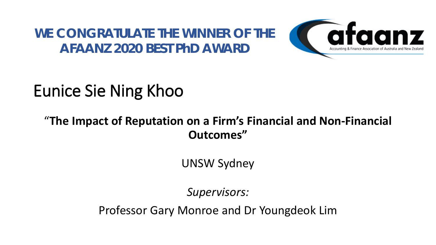**WE CONGRATULATE THE WINNER OF THE AFAANZ 2020 BEST PhD AWARD**



## Eunice Sie Ning Khoo

### "**The Impact of Reputation on a Firm's Financial and Non-Financial Outcomes"**

UNSW Sydney

*Supervisors:*

Professor Gary Monroe and Dr Youngdeok Lim